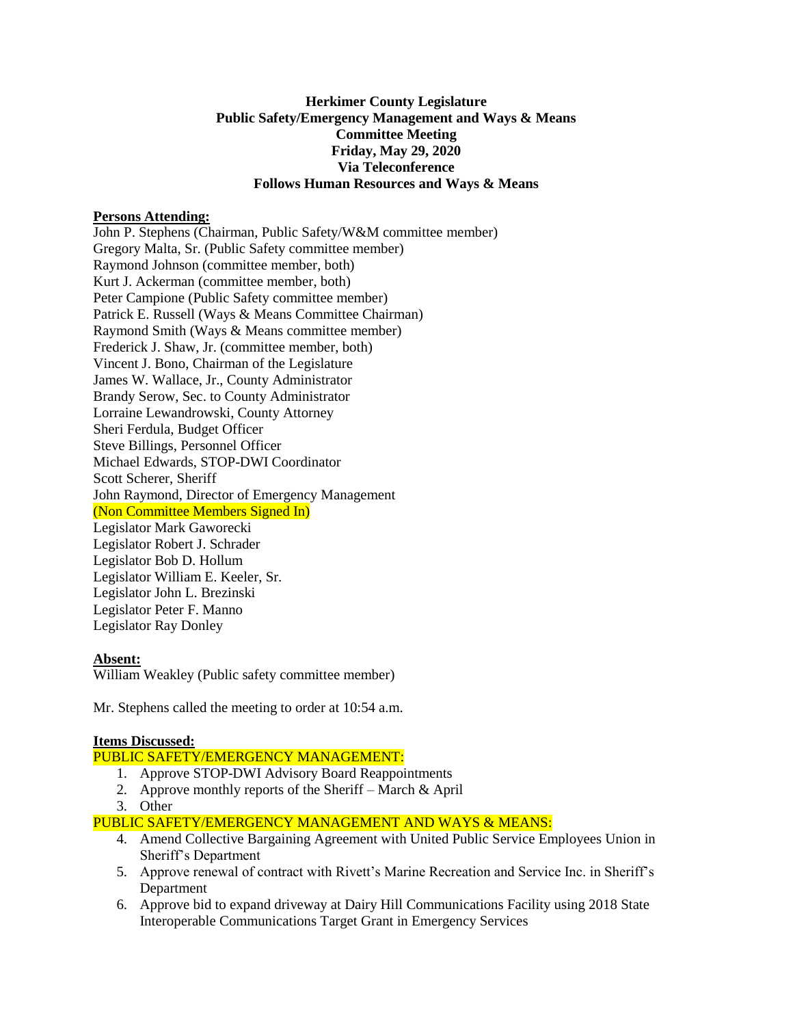# **Herkimer County Legislature Public Safety/Emergency Management and Ways & Means Committee Meeting Friday, May 29, 2020 Via Teleconference Follows Human Resources and Ways & Means**

### **Persons Attending:**

John P. Stephens (Chairman, Public Safety/W&M committee member) Gregory Malta, Sr. (Public Safety committee member) Raymond Johnson (committee member, both) Kurt J. Ackerman (committee member, both) Peter Campione (Public Safety committee member) Patrick E. Russell (Ways & Means Committee Chairman) Raymond Smith (Ways & Means committee member) Frederick J. Shaw, Jr. (committee member, both) Vincent J. Bono, Chairman of the Legislature James W. Wallace, Jr., County Administrator Brandy Serow, Sec. to County Administrator Lorraine Lewandrowski, County Attorney Sheri Ferdula, Budget Officer Steve Billings, Personnel Officer Michael Edwards, STOP-DWI Coordinator Scott Scherer, Sheriff John Raymond, Director of Emergency Management (Non Committee Members Signed In) Legislator Mark Gaworecki Legislator Robert J. Schrader Legislator Bob D. Hollum Legislator William E. Keeler, Sr. Legislator John L. Brezinski Legislator Peter F. Manno Legislator Ray Donley

### **Absent:**

William Weakley (Public safety committee member)

Mr. Stephens called the meeting to order at 10:54 a.m.

### **Items Discussed:**

PUBLIC SAFETY/EMERGENCY MANAGEMENT:

- 1. Approve STOP-DWI Advisory Board Reappointments
- 2. Approve monthly reports of the Sheriff March & April
- 3. Other

PUBLIC SAFETY/EMERGENCY MANAGEMENT AND WAYS & MEANS:

- 4. Amend Collective Bargaining Agreement with United Public Service Employees Union in Sheriff's Department
- 5. Approve renewal of contract with Rivett's Marine Recreation and Service Inc. in Sheriff's Department
- 6. Approve bid to expand driveway at Dairy Hill Communications Facility using 2018 State Interoperable Communications Target Grant in Emergency Services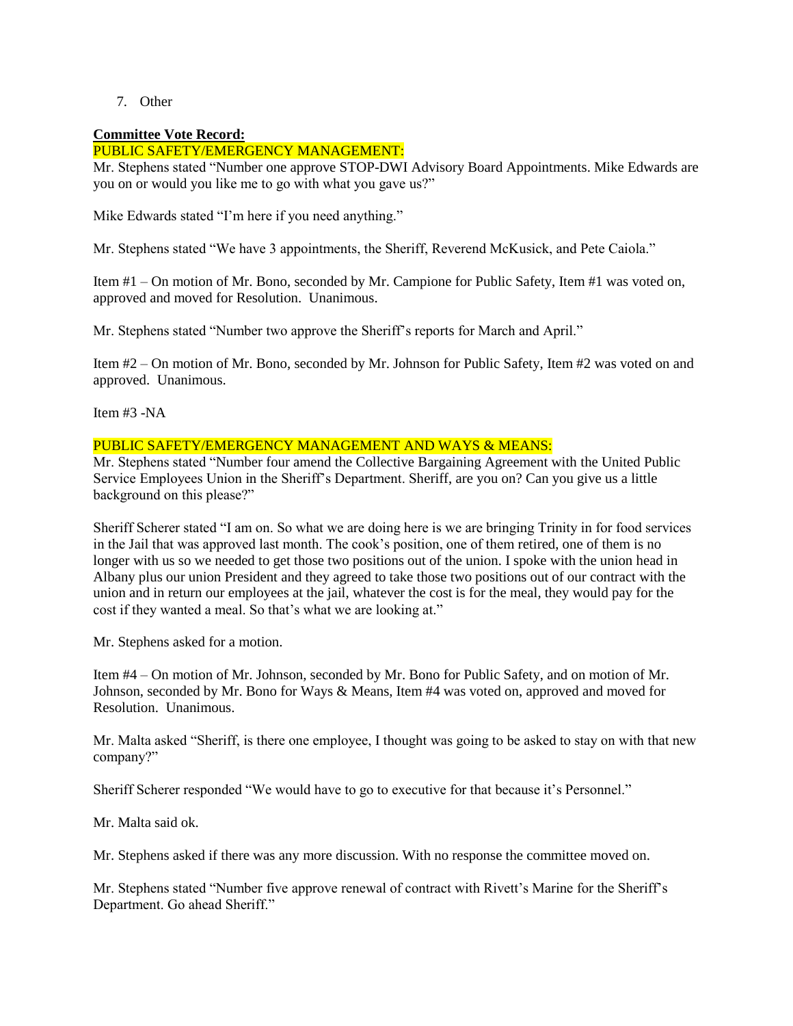7. Other

### **Committee Vote Record:**

# PUBLIC SAFETY/EMERGENCY MANAGEMENT:

Mr. Stephens stated "Number one approve STOP-DWI Advisory Board Appointments. Mike Edwards are you on or would you like me to go with what you gave us?"

Mike Edwards stated "I'm here if you need anything."

Mr. Stephens stated "We have 3 appointments, the Sheriff, Reverend McKusick, and Pete Caiola."

Item #1 – On motion of Mr. Bono, seconded by Mr. Campione for Public Safety, Item #1 was voted on, approved and moved for Resolution. Unanimous.

Mr. Stephens stated "Number two approve the Sheriff's reports for March and April."

Item #2 – On motion of Mr. Bono, seconded by Mr. Johnson for Public Safety, Item #2 was voted on and approved. Unanimous.

Item #3 -NA

# PUBLIC SAFETY/EMERGENCY MANAGEMENT AND WAYS & MEANS:

Mr. Stephens stated "Number four amend the Collective Bargaining Agreement with the United Public Service Employees Union in the Sheriff's Department. Sheriff, are you on? Can you give us a little background on this please?"

Sheriff Scherer stated "I am on. So what we are doing here is we are bringing Trinity in for food services in the Jail that was approved last month. The cook's position, one of them retired, one of them is no longer with us so we needed to get those two positions out of the union. I spoke with the union head in Albany plus our union President and they agreed to take those two positions out of our contract with the union and in return our employees at the jail, whatever the cost is for the meal, they would pay for the cost if they wanted a meal. So that's what we are looking at."

Mr. Stephens asked for a motion.

Item #4 – On motion of Mr. Johnson, seconded by Mr. Bono for Public Safety, and on motion of Mr. Johnson, seconded by Mr. Bono for Ways & Means, Item #4 was voted on, approved and moved for Resolution. Unanimous.

Mr. Malta asked "Sheriff, is there one employee, I thought was going to be asked to stay on with that new company?"

Sheriff Scherer responded "We would have to go to executive for that because it's Personnel."

Mr. Malta said ok.

Mr. Stephens asked if there was any more discussion. With no response the committee moved on.

Mr. Stephens stated "Number five approve renewal of contract with Rivett's Marine for the Sheriff's Department. Go ahead Sheriff."